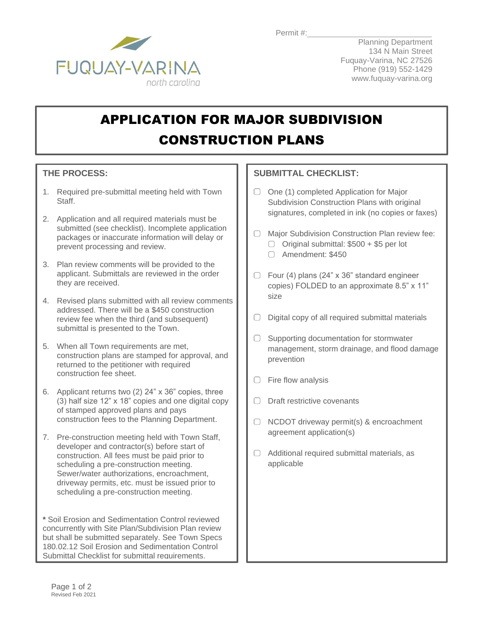

Planning Department 134 N Main Street Fuquay-Varina, NC 27526 Phone (919) 552-1429 www.fuquay-varina.org

## APPLICATION FOR MAJOR SUBDIVISION CONSTRUCTION PLANS

## **THE PROCESS:**

- 1. Required pre-submittal meeting held with Town Staff.
- 2. Application and all required materials must be submitted (see checklist). Incomplete application packages or inaccurate information will delay or prevent processing and review.
- 3. Plan review comments will be provided to the applicant. Submittals are reviewed in the order they are received.
- 4. Revised plans submitted with all review comments addressed. There will be a \$450 construction review fee when the third (and subsequent) submittal is presented to the Town.
- 5. When all Town requirements are met, construction plans are stamped for approval, and returned to the petitioner with required construction fee sheet.
- 6. Applicant returns two (2) 24" x 36" copies, three (3) half size 12" x 18" copies and one digital copy of stamped approved plans and pays construction fees to the Planning Department.
- 7. Pre-construction meeting held with Town Staff, developer and contractor(s) before start of construction. All fees must be paid prior to scheduling a pre-construction meeting. Sewer/water authorizations, encroachment, driveway permits, etc. must be issued prior to scheduling a pre-construction meeting.

**\*** Soil Erosion and Sedimentation Control reviewed concurrently with Site Plan/Subdivision Plan review but shall be submitted separately. See Town Specs 180.02.12 Soil Erosion and Sedimentation Control Submittal Checklist for submittal requirements.

## **SUBMITTAL CHECKLIST:**

- $\Box$  One (1) completed Application for Major Subdivision Construction Plans with original signatures, completed in ink (no copies or faxes)
- Major Subdivision Construction Plan review fee:  $\Box$  Original submittal: \$500 + \$5 per lot
	- Amendment: \$450
- $\Box$  Four (4) plans (24" x 36" standard engineer copies) FOLDED to an approximate 8.5" x 11" size
- $\Box$  Digital copy of all required submittal materials
- $\Box$  Supporting documentation for stormwater management, storm drainage, and flood damage prevention
- $\Box$  Fire flow analysis
- Draft restrictive covenants
- $\Box$  NCDOT driveway permit(s) & encroachment agreement application(s)
- $\Box$  Additional required submittal materials, as applicable